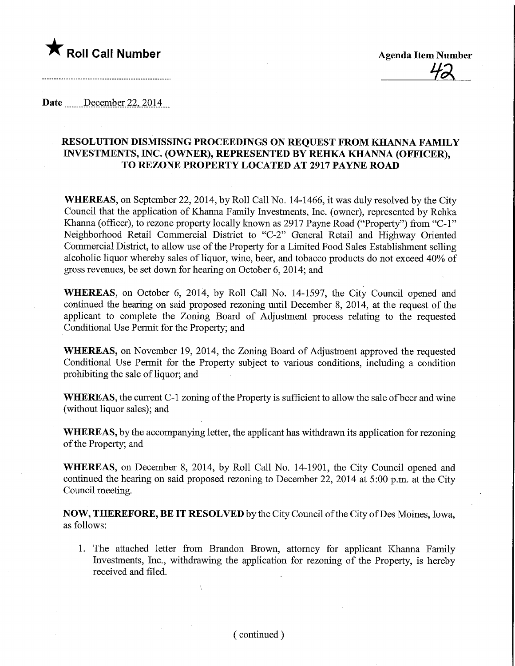## $\bigstar$  Roll Call Number

Date December 22, 2014

## RESOLUTION DISMISSING PROCEEDINGS ON REQUEST FROM KHANNA FAMILY INVESTMENTS, INC. (OWNER), REPRESENTED BY REHKA KHANNA (OFFICER), TO REZONE PROPERTY LOCATED AT 2917 PAYNE ROAD

WHEREAS, on September 22, 2014, by Roll Call No. 14-1466, it was duly resolved by the City Council that the application of Khanna Family Investments, Inc. (owner), represented by Rehka Khanna (officer), to rezone property locally known as 2917 Payne Road ("Property") from "C-l" Neighborhood Retail Commercial District to "C-2" General Retail and Highway Oriented Commercial District, to allow use of the Property for a Limited Food Sales Establishment selling alcoholic liquor whereby sales of liquor, wine, beer, and tobacco products do not exceed 40% of gross revenues, be set down for hearing on October 6, 2014; and

WHEREAS, on October 6, 2014, by Roll Call No. 14-1597, the City Council opened and continued the hearing on said proposed rezoning until December 8, 2014, at the request of the applicant to complete the Zoning Board of Adjustment process relating to the requested Conditional Use Permit for the Property; and

WHEREAS, on November 19, 2014, the Zoning Board of Adjustment approved the requested Conditional Use Permit for the Property subject to various conditions, including a condition prohibiting the sale of liquor; and

WHEREAS, the current C-l zoning of the Property is sufficient to allow the sale of beer and wine (without liquor sales); and

WHEREAS, by the accompanying letter, the applicant has withdrawn its application for rezoning of the Property; and

WHEREAS, on December 8, 2014, by Roll Call No. 14-1901, the City Council opened and continued the hearing on said proposed rezoning to December 22, 2014 at 5:00 p.m. at the City Council meeting.

NOW, THEREFORE, BE IT RESOLVED by the City Council of the City ofDes Moines, Iowa, as follows:

1. The attached letter from Brandon Brown, attorney for applicant Khanna Family Investments, Inc., withdrawing the application for rezoning of the Property, is hereby received and filed.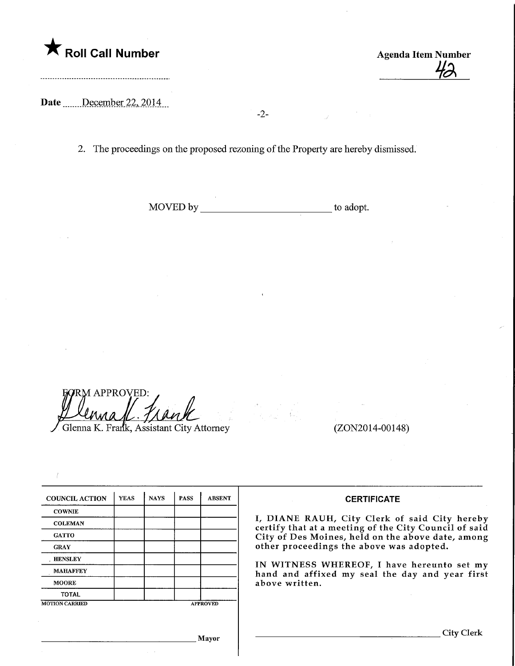Roll Call Number Agenda Item Number<br>
Agenda Item Number<br>
Agenda Item Number

Date December 22, 2014

2. The proceedings on the proposed rezoning of the Property are hereby dismissed.

-2-

MOVED by to adopt.

M APPROVED: Glenna K. Frank, Assistant City Attorney (ZON2014-00148) ^^L.7A^^

| <b>COUNCIL ACTION</b> | <b>YEAS</b> | <b>NAYS</b>     | <b>PASS</b> | <b>ABSENT</b> |
|-----------------------|-------------|-----------------|-------------|---------------|
| <b>COWNIE</b>         |             |                 |             |               |
| <b>COLEMAN</b>        |             |                 |             |               |
| <b>GATTO</b>          |             |                 |             |               |
| <b>GRAY</b>           |             |                 |             |               |
| <b>HENSLEY</b>        |             |                 |             |               |
| <b>MAHAFFEY</b>       |             |                 |             |               |
| <b>MOORE</b>          |             |                 |             |               |
| <b>TOTAL</b>          |             |                 |             |               |
| <b>MOTION CARRIED</b> |             | <b>APPROVED</b> |             |               |

Mayor

## **CERTIFICATE**

I, DIANE RAUH, City Clerk of said City hereby certify that at a meeting of the City Council of said City of Des Moines, held on the above date, among other proceedings the above was adopted.

IN WITNESS WHEREOF, I have hereunto set my hand and affixed my seal the day and year first above written.

. City Clerk